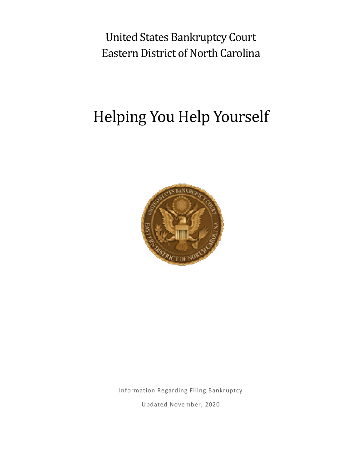United States Bankruptcy Court Eastern District of North Carolina

# Helping You Help Yourself



Information Regarding Filing Bankruptcy

Updated November, 2020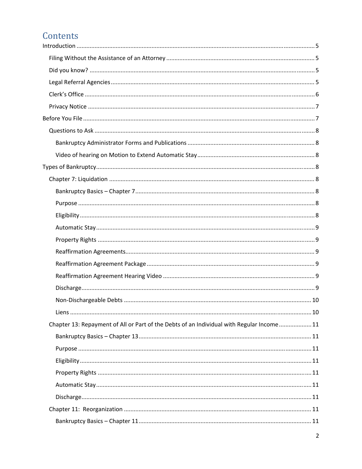# Contents

| Chapter 13: Repayment of All or Part of the Debts of an Individual with Regular Income 11 |  |
|-------------------------------------------------------------------------------------------|--|
|                                                                                           |  |
|                                                                                           |  |
|                                                                                           |  |
|                                                                                           |  |
|                                                                                           |  |
|                                                                                           |  |
|                                                                                           |  |
|                                                                                           |  |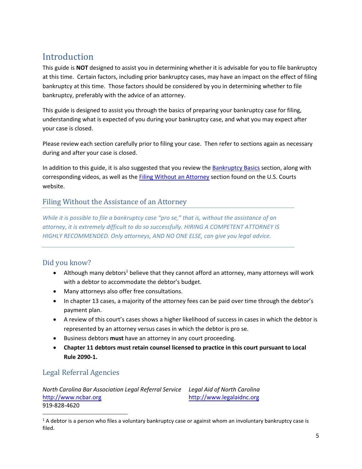## Introduction

This guide is **NOT** designed to assist you in determining whether it is advisable for you to file bankruptcy at this time. Certain factors, including prior bankruptcy cases, may have an impact on the effect of filing bankruptcy at this time. Those factors should be considered by you in determining whether to file bankruptcy, preferably with the advice of an attorney.

This guide is designed to assist you through the basics of preparing your bankruptcy case for filing, understanding what is expected of you during your bankruptcy case, and what you may expect after your case is closed.

Please review each section carefully prior to filing your case. Then refer to sections again as necessary during and after your case is closed.

In addition to this guide, it is also suggested that you review the [Bankruptcy](https://www.uscourts.gov/services-forms/bankruptcy/bankruptcy-basics) Basics section, along with corresponding videos, as well as the Filing Without an [Attorney](https://www.nceb.uscourts.gov/filing-without-attorney) section found on the U.S. Courts website.

### Filing Without the Assistance of an Attorney

*While it is possible to file a bankruptcy case "pro se," that is, without the assistance of an attorney, it is extremely difficult to do so successfully. HIRING A COMPETENT ATTORNEY IS HIGHLY RECOMMENDED. Only attorneys, AND NO ONE ELSE, can give you legal advice.*

### Did you know?

- $\bullet$  Although many debtors<sup>1</sup> believe that they cannot afford an attorney, many attorneys will work with a debtor to accommodate the debtor's budget.
- Many attorneys also offer free consultations.
- In chapter 13 cases, a majority of the attorney fees can be paid over time through the debtor's payment plan.
- A review of this court's cases shows a higher likelihood of success in cases in which the debtor is represented by an attorney versus cases in which the debtor is pro se.
- Business debtors **must** have an attorney in any court proceeding.
- **Chapter 11 debtors must retain counsel licensed to practice in this court pursuant to Local Rule 2090‐1.**

### Legal Referral Agencies

*North Carolina Bar Association Legal Referral Service Legal Aid of North Carolina* <http://www.ncbar.org> 919‐828‐4620

<http://www.legalaidnc.org>

 $1$  A debtor is a person who files a voluntary bankruptcy case or against whom an involuntary bankruptcy case is filed.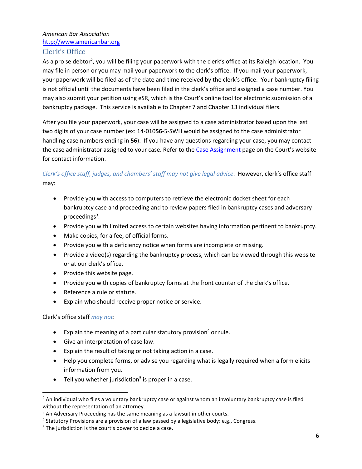### *American Bar Association* <http://www.americanbar.org>

### Clerk's Office

As a pro se debtor<sup>2</sup>, you will be filing your paperwork with the clerk's office at its Raleigh location. You may file in person or you may mail your paperwork to the clerk's office. If you mail your paperwork, your paperwork will be filed as of the date and time received by the clerk's office. Your bankruptcy filing is not official until the documents have been filed in the clerk's office and assigned a case number. You may also submit your petition using eSR, which is the Court's online tool for electronic submission of a bankruptcy package. This service is available to Chapter 7 and Chapter 13 individual filers.

After you file your paperwork, your case will be assigned to a case administrator based upon the last two digits of your case number (ex: 14‐010**56**‐5‐SWH would be assigned to the case administrator handling case numbers ending in **56**). If you have any questions regarding your case, you may contact the case administrator assigned to your case. Refer to the Case [Assignment](https://www.nceb.uscourts.gov/case-assignments) page on the Court's website for contact information.

### *Clerk's office staff, judges, and chambers' staff may not give legal advice*. However, clerk's office staff may:

- Provide you with access to computers to retrieve the electronic docket sheet for each bankruptcy case and proceeding and to review papers filed in bankruptcy cases and adversary proceedings<sup>3</sup>.
- Provide you with limited access to certain websites having information pertinent to bankruptcy.
- Make copies, for a fee, of official forms.
- Provide you with a deficiency notice when forms are incomplete or missing.
- Provide a video(s) regarding the bankruptcy process, which can be viewed through this website or at our clerk's office.
- Provide this website page.
- Provide you with copies of bankruptcy forms at the front counter of the clerk's office.
- Reference a rule or statute.
- Explain who should receive proper notice or service.

Clerk's office staff *may not*:

- Explain the meaning of a particular statutory provision<sup>4</sup> or rule.
- Give an interpretation of case law.
- Explain the result of taking or not taking action in a case.
- Help you complete forms, or advise you regarding what is legally required when a form elicits information from you.
- **•** Tell you whether jurisdiction<sup>5</sup> is proper in a case.

<sup>&</sup>lt;sup>2</sup> An individual who files a voluntary bankruptcy case or against whom an involuntary bankruptcy case is filed without the representation of an attorney.

<sup>&</sup>lt;sup>3</sup> An Adversary Proceeding has the same meaning as a lawsuit in other courts.

<sup>4</sup> Statutory Provisions are a provision of a law passed by a legislative body: e.g., Congress.

 $5$  The jurisdiction is the court's power to decide a case.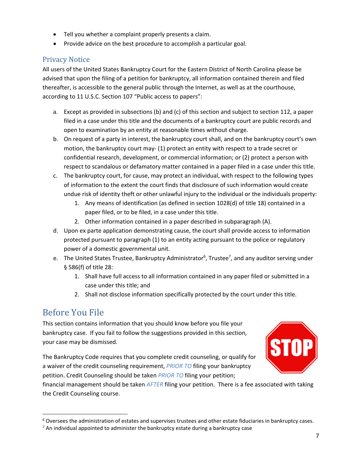- Tell you whether a complaint properly presents a claim.
- Provide advice on the best procedure to accomplish a particular goal.

### Privacy Notice

All users of the United States Bankruptcy Court for the Eastern District of North Carolina please be advised that upon the filing of a petition for bankruptcy, all information contained therein and filed thereafter, is accessible to the general public through the Internet, as well as at the courthouse, according to 11 U.S.C. Section 107 "Public access to papers":

- a. Except as provided in subsections (b) and (c) of this section and subject to section 112, a paper filed in a case under this title and the documents of a bankruptcy court are public records and open to examination by an entity at reasonable times without charge.
- b. On request of a party in interest, the bankruptcy court shall, and on the bankruptcy court's own motion, the bankruptcy court may‐ (1) protect an entity with respect to a trade secret or confidential research, development, or commercial information; or (2) protect a person with respect to scandalous or defamatory matter contained in a paper filed in a case under this title.
- c. The bankruptcy court, for cause, may protect an individual, with respect to the following types of information to the extent the court finds that disclosure of such information would create undue risk of identity theft or other unlawful injury to the individual or the individuals property:
	- 1. Any means of identification (as defined in section 1028(d) of title 18) contained in a paper filed, or to be filed, in a case under this title.
	- 2. Other information contained in a paper described in subparagraph (A).
- d. Upon ex parte application demonstrating cause, the court shall provide access to information protected pursuant to paragraph (1) to an entity acting pursuant to the police or regulatory power of a domestic governmental unit.
- e. The United States Trustee, Bankruptcy Administrator<sup>6</sup>, Trustee<sup>7</sup>, and any auditor serving under § 586(f) of title 28:
	- 1. Shall have full access to all information contained in any paper filed or submitted in a case under this title; and
	- 2. Shall not disclose information specifically protected by the court under this title.

### Before You File

This section contains information that you should know before you file your bankruptcy case. If you fail to follow the suggestions provided in this section, your case may be dismissed.

The Bankruptcy Code requires that you complete credit counseling, or qualify for a waiver of the credit counseling requirement, *PRIOR TO* filing your bankruptcy petition. Credit Counseling should be taken *PRIOR TO* filing your petition;



financial management should be taken *AFTER* filing your petition. There is a fee associated with taking the Credit Counseling course.

 $6$  Oversees the administration of estates and supervises trustees and other estate fiduciaries in bankruptcy cases.

 $<sup>7</sup>$  An individual appointed to administer the bankruptcy estate during a bankruptcy case</sup>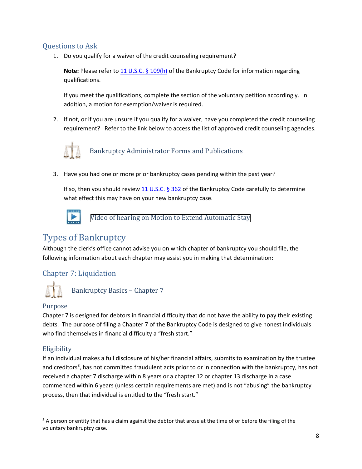### Questions to Ask

1. Do you qualify for a waiver of the credit counseling requirement?

**Note:** Please refer to 11 U.S.C. § [109\(h\)](https://law.abi.org/) of the Bankruptcy Code for information regarding qualifications.

If you meet the qualifications, complete the section of the voluntary petition accordingly. In addition, a motion for exemption/waiver is required.

2. If not, or if you are unsure if you qualify for a waiver, have you completed the credit counseling requirement? Refer to the link below to access the list of approved credit counseling agencies.



Bankruptcy Administrator Forms and Publications

3. Have you had one or more prior bankruptcy cases pending within the past year?

If so, then you should review 11 [U.S.C.](https://law.abi.org/)  $\S$  362 of the Bankruptcy Code carefully to determine what effect this may have on your new bankruptcy case.



[Video of hearing on Motion to Extend Automatic Stay](https://www.nceb.uscourts.gov/sites/nceb/files/Pro%20Se%20Motion%20to%20Extend%20Stay%20Hearing.mp4) 

# Types of Bankruptcy

Although the clerk's office cannot advise you on which chapter of bankruptcy you should file, the following information about each chapter may assist you in making that determination:

### Chapter 7: Liquidation



Bankruptcy Basics – Chapter 7

### Purpose

Chapter 7 is designed for debtors in financial difficulty that do not have the ability to pay their existing debts. The purpose of filing a Chapter 7 of the Bankruptcy Code is designed to give honest individuals who find themselves in financial difficulty a "fresh start."

### **Eligibility**

If an individual makes a full disclosure of his/her financial affairs, submits to examination by the trustee and creditors<sup>8</sup>, has not committed fraudulent acts prior to or in connection with the bankruptcy, has not received a chapter 7 discharge within 8 years or a chapter 12 or chapter 13 discharge in a case commenced within 6 years (unless certain requirements are met) and is not "abusing" the bankruptcy process, then that individual is entitled to the "fresh start."

 $8$  A person or entity that has a claim against the debtor that arose at the time of or before the filing of the voluntary bankruptcy case.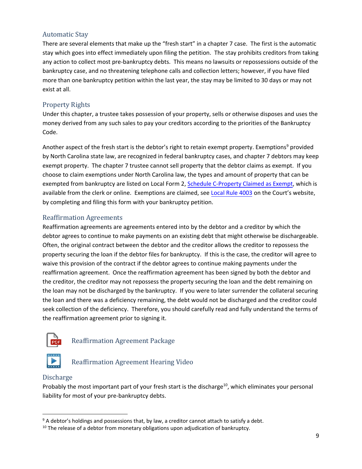### Automatic Stay

There are several elements that make up the "fresh start" in a chapter 7 case. The first is the automatic stay which goes into effect immediately upon filing the petition. The stay prohibits creditors from taking any action to collect most pre‐bankruptcy debts. This means no lawsuits or repossessions outside of the bankruptcy case, and no threatening telephone calls and collection letters; however, if you have filed more than one bankruptcy petition within the last year, the stay may be limited to 30 days or may not exist at all.

### Property Rights

Under this chapter, a trustee takes possession of your property, sells or otherwise disposes and uses the money derived from any such sales to pay your creditors according to the priorities of the Bankruptcy Code.

Another aspect of the fresh start is the debtor's right to retain exempt property. Exemptions<sup>9</sup> provided by North Carolina state law, are recognized in federal bankruptcy cases, and chapter 7 debtors may keep exempt property. The chapter 7 trustee cannot sell property that the debtor claims as exempt. If you choose to claim exemptions under North Carolina law, the types and amount of property that can be exempted from bankruptcy are listed on Local Form 2, [Schedule](https://www.nceb.uscourts.gov/sites/nceb/files/Schedule%20C-2%20Claim%20for%20Exemptions_Other%20Jurisdictions_4_2006.pdf) C-Property Claimed as Exempt, which is available from the clerk or online. Exemptions are claimed, see [Local](https://www.nceb.uscourts.gov/court-info/local-rules-and-orders) Rule 4003 on the Court's website, by completing and filing this form with your bankruptcy petition.

### Reaffirmation Agreements

Reaffirmation agreements are agreements entered into by the debtor and a creditor by which the debtor agrees to continue to make payments on an existing debt that might otherwise be dischargeable. Often, the original contract between the debtor and the creditor allows the creditor to repossess the property securing the loan if the debtor files for bankruptcy. If this is the case, the creditor will agree to waive this provision of the contract if the debtor agrees to continue making payments under the reaffirmation agreement. Once the reaffirmation agreement has been signed by both the debtor and the creditor, the creditor may not repossess the property securing the loan and the debt remaining on the loan may not be discharged by the bankruptcy. If you were to later surrender the collateral securing the loan and there was a deficiency remaining, the debt would not be discharged and the creditor could seek collection of the deficiency. Therefore, you should carefully read and fully understand the terms of the reaffirmation agreement prior to signing it.



Reaffirmation Agreement Package



Reaffirmation Agreement Hearing Video

### Discharge

Probably the most important part of your fresh start is the discharge<sup>10</sup>, which eliminates your personal liability for most of your pre‐bankruptcy debts.

 $9$  A debtor's holdings and possessions that, by law, a creditor cannot attach to satisfy a debt.

 $10$  The release of a debtor from monetary obligations upon adjudication of bankruptcy.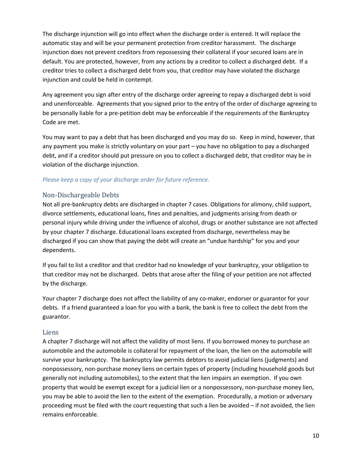The discharge injunction will go into effect when the discharge order is entered. It will replace the automatic stay and will be your permanent protection from creditor harassment. The discharge injunction does not prevent creditors from repossessing their collateral if your secured loans are in default. You are protected, however, from any actions by a creditor to collect a discharged debt. If a creditor tries to collect a discharged debt from you, that creditor may have violated the discharge injunction and could be held in contempt.

Any agreement you sign after entry of the discharge order agreeing to repay a discharged debt is void and unenforceable. Agreements that you signed prior to the entry of the order of discharge agreeing to be personally liable for a pre‐petition debt may be enforceable if the requirements of the Bankruptcy Code are met.

You may want to pay a debt that has been discharged and you may do so. Keep in mind, however, that any payment you make is strictly voluntary on your part – you have no obligation to pay a discharged debt, and if a creditor should put pressure on you to collect a discharged debt, that creditor may be in violation of the discharge injunction.

#### *Please keep a copy of your discharge order for future reference.*

#### Non-Dischargeable Debts

Not all pre‐bankruptcy debts are discharged in chapter 7 cases. Obligations for alimony, child support, divorce settlements, educational loans, fines and penalties, and judgments arising from death or personal injury while driving under the influence of alcohol, drugs or another substance are not affected by your chapter 7 discharge. Educational loans excepted from discharge, nevertheless may be discharged if you can show that paying the debt will create an "undue hardship" for you and your dependents.

If you fail to list a creditor and that creditor had no knowledge of your bankruptcy, your obligation to that creditor may not be discharged. Debts that arose after the filing of your petition are not affected by the discharge.

Your chapter 7 discharge does not affect the liability of any co-maker, endorser or guarantor for your debts. If a friend guaranteed a loan for you with a bank, the bank is free to collect the debt from the guarantor.

#### Liens

A chapter 7 discharge will not affect the validity of most liens. If you borrowed money to purchase an automobile and the automobile is collateral for repayment of the loan, the lien on the automobile will survive your bankruptcy. The bankruptcy law permits debtors to avoid judicial liens (judgments) and nonpossessory, non‐purchase money liens on certain types of property (including household goods but generally not including automobiles), to the extent that the lien impairs an exemption. If you own property that would be exempt except for a judicial lien or a nonpossessory, non-purchase money lien, you may be able to avoid the lien to the extent of the exemption. Procedurally, a motion or adversary proceeding must be filed with the court requesting that such a lien be avoided – if not avoided, the lien remains enforceable.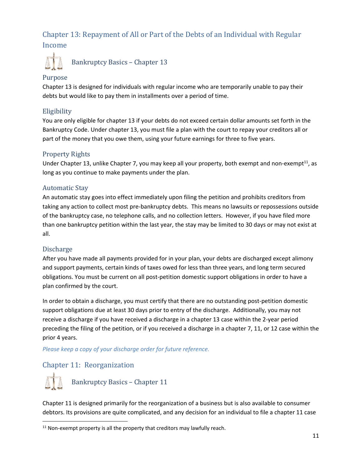### Chapter 13: Repayment of All or Part of the Debts of an Individual with Regular Income



Bankruptcy Basics – Chapter 13

#### Purpose

Chapter 13 is designed for individuals with regular income who are temporarily unable to pay their debts but would like to pay them in installments over a period of time.

#### Eligibility

You are only eligible for chapter 13 if your debts do not exceed certain dollar amounts set forth in the Bankruptcy Code. Under chapter 13, you must file a plan with the court to repay your creditors all or part of the money that you owe them, using your future earnings for three to five years.

#### Property Rights

Under Chapter 13, unlike Chapter 7, you may keep all your property, both exempt and non-exempt<sup>11</sup>, as long as you continue to make payments under the plan.

#### Automatic Stay

An automatic stay goes into effect immediately upon filing the petition and prohibits creditors from taking any action to collect most pre‐bankruptcy debts. This means no lawsuits or repossessions outside of the bankruptcy case, no telephone calls, and no collection letters. However, if you have filed more than one bankruptcy petition within the last year, the stay may be limited to 30 days or may not exist at all.

#### Discharge

After you have made all payments provided for in your plan, your debts are discharged except alimony and support payments, certain kinds of taxes owed for less than three years, and long term secured obligations. You must be current on all post‐petition domestic support obligations in order to have a plan confirmed by the court.

In order to obtain a discharge, you must certify that there are no outstanding post‐petition domestic support obligations due at least 30 days prior to entry of the discharge. Additionally, you may not receive a discharge if you have received a discharge in a chapter 13 case within the 2‐year period preceding the filing of the petition, or if you received a discharge in a chapter 7, 11, or 12 case within the prior 4 years.

*Please keep a copy of your discharge order for future reference.*

### Chapter 11: Reorganization



Chapter 11 is designed primarily for the reorganization of a business but is also available to consumer debtors. Its provisions are quite complicated, and any decision for an individual to file a chapter 11 case

 $11$  Non-exempt property is all the property that creditors may lawfully reach.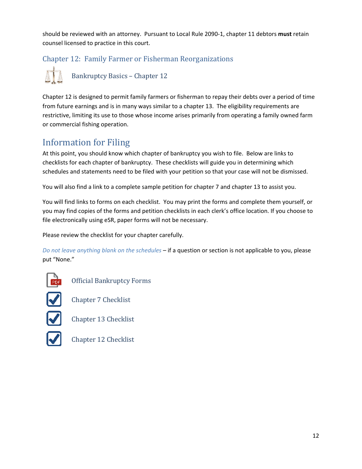should be reviewed with an attorney. Pursuant to Local Rule 2090‐1, chapter 11 debtors **must** retain counsel licensed to practice in this court.

### Chapter 12: Family Farmer or Fisherman Reorganizations



Chapter 12 is designed to permit family farmers or fisherman to repay their debts over a period of time from future earnings and is in many ways similar to a chapter 13. The eligibility requirements are restrictive, limiting its use to those whose income arises primarily from operating a family owned farm or commercial fishing operation.

# Information for Filing

At this point, you should know which chapter of bankruptcy you wish to file. Below are links to checklists for each chapter of bankruptcy. These checklists will guide you in determining which schedules and statements need to be filed with your petition so that your case will not be dismissed.

You will also find a link to a complete sample petition for chapter 7 and chapter 13 to assist you.

You will find links to forms on each checklist. You may print the forms and complete them yourself, or you may find copies of the forms and petition checklists in each clerk's office location. If you choose to file electronically using eSR, paper forms will not be necessary.

Please review the checklist for your chapter carefully.

*Do not leave anything blank on the schedules* – if a question or section is not applicable to you, please put "None."



Official Bankruptcy Forms

Chapter 7 Checklist



Chapter 13 Checklist



Chapter 12 Checklist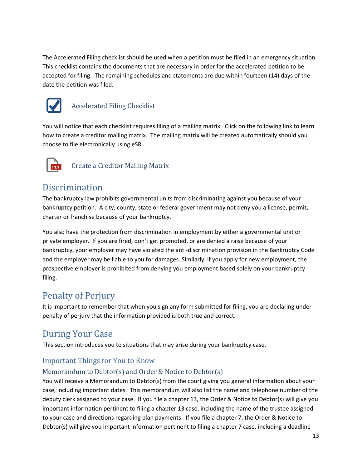The Accelerated Filing checklist should be used when a petition must be filed in an emergency situation. This checklist contains the documents that are necessary in order for the accelerated petition to be accepted for filing. The remaining schedules and statements are due within fourteen (14) days of the date the petition was filed.



### Accelerated Filing Checklist

You will notice that each checklist requires filing of a mailing matrix. Click on the following link to learn how to create a creditor mailing matrix. The mailing matrix will be created automatically should you choose to file electronically using eSR.



Create a Creditor Mailing Matrix

### Discrimination

The bankruptcy law prohibits governmental units from discriminating against you because of your bankruptcy petition. A city, county, state or federal government may not deny you a license, permit, charter or franchise because of your bankruptcy.

You also have the protection from discrimination in employment by either a governmental unit or private employer. If you are fired, don't get promoted, or are denied a raise because of your bankruptcy, your employer may have violated the anti‐discrimination provision in the Bankruptcy Code and the employer may be liable to you for damages. Similarly, if you apply for new employment, the prospective employer is prohibited from denying you employment based solely on your bankruptcy filing.

# Penalty of Perjury

It is important to remember that when you sign any form submitted for filing, you are declaring under penalty of perjury that the information provided is both true and correct.

### During Your Case

This section introduces you to situations that may arise during your bankruptcy case.

### Important Things for You to Know

### Memorandum to Debtor(s) and Order & Notice to Debtor(s)

You will receive a Memorandum to Debtor(s) from the court giving you general information about your case, including important dates. This memorandum will also list the name and telephone number of the deputy clerk assigned to your case. If you file a chapter 13, the Order & Notice to Debtor(s) will give you important information pertinent to filing a chapter 13 case, including the name of the trustee assigned to your case and directions regarding plan payments. If you file a chapter 7, the Order & Notice to Debtor(s) will give you important information pertinent to filing a chapter 7 case, including a deadline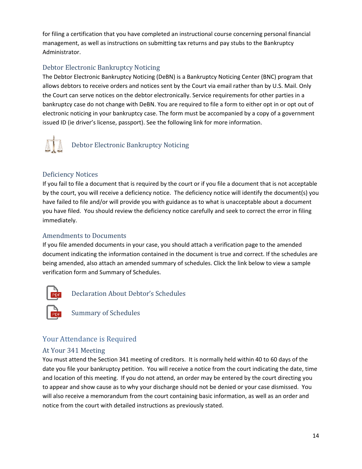for filing a certification that you have completed an instructional course concerning personal financial management, as well as instructions on submitting tax returns and pay stubs to the Bankruptcy Administrator.

### Debtor Electronic Bankruptcy Noticing

The Debtor Electronic Bankruptcy Noticing (DeBN) is a Bankruptcy Noticing Center (BNC) program that allows debtors to receive orders and notices sent by the Court via email rather than by U.S. Mail. Only the Court can serve notices on the debtor electronically. Service requirements for other parties in a bankruptcy case do not change with DeBN. You are required to file a form to either opt in or opt out of electronic noticing in your bankruptcy case. The form must be accompanied by a copy of a government issued ID (ie driver's license, passport). See the following link for more information.



### Deficiency Notices

If you fail to file a document that is required by the court or if you file a document that is not acceptable by the court, you will receive a deficiency notice. The deficiency notice will identify the document(s) you have failed to file and/or will provide you with guidance as to what is unacceptable about a document you have filed. You should review the deficiency notice carefully and seek to correct the error in filing immediately.

### Amendments to Documents

If you file amended documents in your case, you should attach a verification page to the amended document indicating the information contained in the document is true and correct. If the schedules are being amended, also attach an amended summary of schedules. Click the link below to view a sample verification form and Summary of Schedules.



Declaration About Debtor's Schedules

Summary of Schedules

### Your Attendance is Required

### At Your 341 Meeting

You must attend the Section 341 meeting of creditors. It is normally held within 40 to 60 days of the date you file your bankruptcy petition. You will receive a notice from the court indicating the date, time and location of this meeting. If you do not attend, an order may be entered by the court directing you to appear and show cause as to why your discharge should not be denied or your case dismissed. You will also receive a memorandum from the court containing basic information, as well as an order and notice from the court with detailed instructions as previously stated.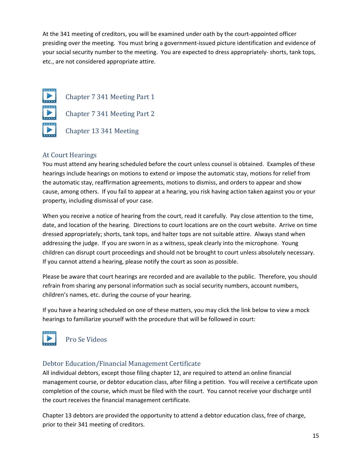At the 341 meeting of creditors, you will be examined under oath by the court-appointed officer presiding over the meeting. You must bring a government‐issued picture identification and evidence of your social security number to the meeting. You are expected to dress appropriately‐ shorts, tank tops, etc., are not considered appropriate attire.



Chapter 7 341 Meeting Part 1 Chapter 7 341 Meeting Part 2

Chapter 13 341 Meeting

### At Court Hearings

You must attend any hearing scheduled before the court unless counsel is obtained. Examples of these hearings include hearings on motions to extend or impose the automatic stay, motions for relief from the automatic stay, reaffirmation agreements, motions to dismiss, and orders to appear and show cause, among others. If you fail to appear at a hearing, you risk having action taken against you or your property, including dismissal of your case.

When you receive a notice of hearing from the court, read it carefully. Pay close attention to the time, date, and location of the hearing. Directions to court locations are on the court website. Arrive on time dressed appropriately; shorts, tank tops, and halter tops are not suitable attire. Always stand when addressing the judge. If you are sworn in as a witness, speak clearly into the microphone. Young children can disrupt court proceedings and should not be brought to court unless absolutely necessary. If you cannot attend a hearing, please notify the court as soon as possible.

Please be aware that court hearings are recorded and are available to the public. Therefore, you should refrain from sharing any personal information such as social security numbers, account numbers, children's names, etc. during the course of your hearing.

If you have a hearing scheduled on one of these matters, you may click the link below to view a mock hearings to familiarize yourself with the procedure that will be followed in court:



Pro Se Videos

### Debtor Education/Financial Management Certificate

All individual debtors, except those filing chapter 12, are required to attend an online financial management course, or debtor education class, after filing a petition. You will receive a certificate upon completion of the course, which must be filed with the court. You cannot receive your discharge until the court receives the financial management certificate.

Chapter 13 debtors are provided the opportunity to attend a debtor education class, free of charge, prior to their 341 meeting of creditors.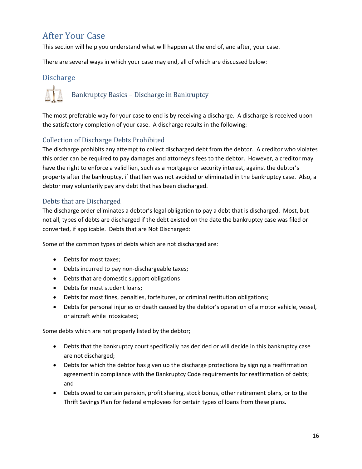# After Your Case

This section will help you understand what will happen at the end of, and after, your case.

There are several ways in which your case may end, all of which are discussed below:

### **Discharge**



The most preferable way for your case to end is by receiving a discharge. A discharge is received upon the satisfactory completion of your case. A discharge results in the following:

### Collection of Discharge Debts Prohibited

The discharge prohibits any attempt to collect discharged debt from the debtor. A creditor who violates this order can be required to pay damages and attorney's fees to the debtor. However, a creditor may have the right to enforce a valid lien, such as a mortgage or security interest, against the debtor's property after the bankruptcy, if that lien was not avoided or eliminated in the bankruptcy case. Also, a debtor may voluntarily pay any debt that has been discharged.

### Debts that are Discharged

The discharge order eliminates a debtor's legal obligation to pay a debt that is discharged. Most, but not all, types of debts are discharged if the debt existed on the date the bankruptcy case was filed or converted, if applicable. Debts that are Not Discharged:

Some of the common types of debts which are not discharged are:

- Debts for most taxes;
- Debts incurred to pay non-dischargeable taxes;
- Debts that are domestic support obligations
- Debts for most student loans:
- Debts for most fines, penalties, forfeitures, or criminal restitution obligations;
- Debts for personal injuries or death caused by the debtor's operation of a motor vehicle, vessel, or aircraft while intoxicated;

Some debts which are not properly listed by the debtor;

- Debts that the bankruptcy court specifically has decided or will decide in this bankruptcy case are not discharged;
- Debts for which the debtor has given up the discharge protections by signing a reaffirmation agreement in compliance with the Bankruptcy Code requirements for reaffirmation of debts; and
- Debts owed to certain pension, profit sharing, stock bonus, other retirement plans, or to the Thrift Savings Plan for federal employees for certain types of loans from these plans.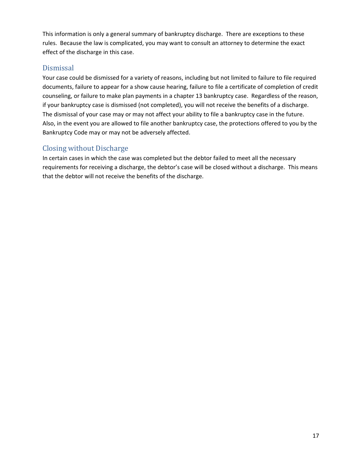This information is only a general summary of bankruptcy discharge. There are exceptions to these rules. Because the law is complicated, you may want to consult an attorney to determine the exact effect of the discharge in this case.

### Dismissal

Your case could be dismissed for a variety of reasons, including but not limited to failure to file required documents, failure to appear for a show cause hearing, failure to file a certificate of completion of credit counseling, or failure to make plan payments in a chapter 13 bankruptcy case. Regardless of the reason, if your bankruptcy case is dismissed (not completed), you will not receive the benefits of a discharge. The dismissal of your case may or may not affect your ability to file a bankruptcy case in the future. Also, in the event you are allowed to file another bankruptcy case, the protections offered to you by the Bankruptcy Code may or may not be adversely affected.

### Closing without Discharge

In certain cases in which the case was completed but the debtor failed to meet all the necessary requirements for receiving a discharge, the debtor's case will be closed without a discharge. This means that the debtor will not receive the benefits of the discharge.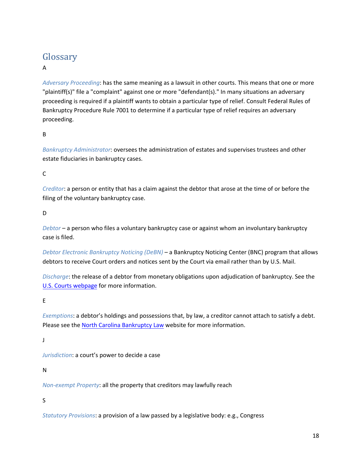# Glossary

### A

*Adversary Proceeding*: has the same meaning as a lawsuit in other courts. This means that one or more "plaintiff(s)" file a "complaint" against one or more "defendant(s)." In many situations an adversary proceeding is required if a plaintiff wants to obtain a particular type of relief. Consult Federal Rules of Bankruptcy Procedure Rule 7001 to determine if a particular type of relief requires an adversary proceeding.

#### B

*Bankruptcy Administrator*: oversees the administration of estates and supervises trustees and other estate fiduciaries in bankruptcy cases.

C

*Creditor*: a person or entity that has a claim against the debtor that arose at the time of or before the filing of the voluntary bankruptcy case.

#### D

*Debtor* – a person who files a voluntary bankruptcy case or against whom an involuntary bankruptcy case is filed.

*Debtor Electronic Bankruptcy Noticing (DeBN)* – a Bankruptcy Noticing Center (BNC) program that allows debtors to receive Court orders and notices sent by the Court via email rather than by U.S. Mail.

*Discharge*: the release of a debtor from monetary obligations upon adjudication of bankruptcy. See the U.S. Courts webpage for more information.

### E

*Exemptions*: a debtor's holdings and possessions that, by law, a creditor cannot attach to satisfy a debt. Please see the North Carolina Bankruptcy Law website for more information.

J

*Jurisdiction*: a court's power to decide a case

#### N

*Non‐exempt Property*: all the property that creditors may lawfully reach

#### S

*Statutory Provisions*: a provision of a law passed by a legislative body: e.g., Congress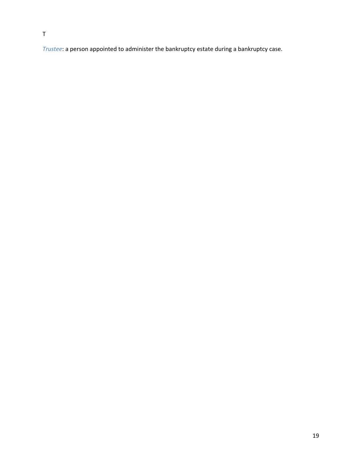*Trustee*: a person appointed to administer the bankruptcy estate during a bankruptcy case.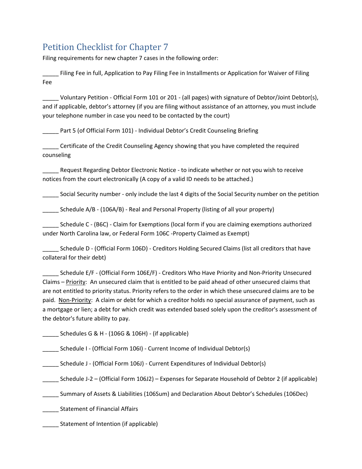# Petition Checklist for Chapter 7

Filing requirements for new chapter 7 cases in the following order:

\_\_\_\_\_ Filing Fee in full, Application to Pay Filing Fee in Installments or Application for Waiver of Filing Fee

\_\_\_\_\_ Voluntary Petition ‐ Official Form 101 or 201 ‐ (all pages) with signature of Debtor/Joint Debtor(s), and if applicable, debtor's attorney (if you are filing without assistance of an attorney, you must include your telephone number in case you need to be contacted by the court)

Part 5 (of Official Form 101) - Individual Debtor's Credit Counseling Briefing

\_\_\_\_\_ Certificate of the Credit Counseling Agency showing that you have completed the required counseling

Request Regarding Debtor Electronic Notice - to indicate whether or not you wish to receive notices from the court electronically (A copy of a valid ID needs to be attached.)

\_\_\_\_\_ Social Security number ‐ only include the last 4 digits of the Social Security number on the petition

Schedule A/B - (106A/B) - Real and Personal Property (listing of all your property)

\_\_\_\_\_ Schedule C ‐ (B6C) ‐ Claim for Exemptions (local form if you are claiming exemptions authorized under North Carolina law, or Federal Form 106C ‐Property Claimed as Exempt)

\_\_\_\_\_ Schedule D ‐ (Official Form 106D) ‐ Creditors Holding Secured Claims (list all creditors that have collateral for their debt)

\_\_\_\_\_ Schedule E/F ‐ (Official Form 106E/F) ‐ Creditors Who Have Priority and Non‐Priority Unsecured Claims – Priority: An unsecured claim that is entitled to be paid ahead of other unsecured claims that are not entitled to priority status. Priority refers to the order in which these unsecured claims are to be paid. Non‐Priority: A claim or debt for which a creditor holds no special assurance of payment, such as a mortgage or lien; a debt for which credit was extended based solely upon the creditor's assessment of the debtor's future ability to pay.

 $\Box$  Schedules G & H - (106G & 106H) - (if applicable)

\_\_\_\_\_ Schedule I ‐ (Official Form 106I) ‐ Current Income of Individual Debtor(s)

\_\_\_\_\_ Schedule J - (Official Form 106J) - Current Expenditures of Individual Debtor(s)

\_\_\_\_\_ Schedule J‐2 – (Official Form 106J2) – Expenses for Separate Household of Debtor 2 (if applicable)

\_\_\_\_\_ Summary of Assets & Liabilities (106Sum) and Declaration About Debtor's Schedules (106Dec)

\_\_\_\_\_ Statement of Financial Affairs

\_\_\_\_\_ Statement of Intention (if applicable)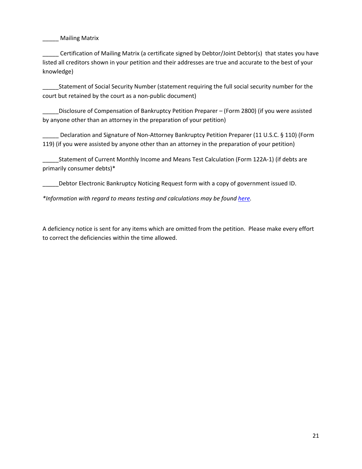\_\_\_\_\_ Mailing Matrix

\_\_\_\_\_ Certification of Mailing Matrix (a certificate signed by Debtor/Joint Debtor(s) that states you have listed all creditors shown in your petition and their addresses are true and accurate to the best of your knowledge)

\_\_\_\_\_Statement of Social Security Number (statement requiring the full social security number for the court but retained by the court as a non‐public document)

Disclosure of Compensation of Bankruptcy Petition Preparer – (Form 2800) (if you were assisted by anyone other than an attorney in the preparation of your petition)

Declaration and Signature of Non-Attorney Bankruptcy Petition Preparer (11 U.S.C. § 110) (Form 119) (if you were assisted by anyone other than an attorney in the preparation of your petition)

Statement of Current Monthly Income and Means Test Calculation (Form 122A-1) (if debts are primarily consumer debts)\*

\_\_\_\_\_Debtor Electronic Bankruptcy Noticing Request form with a copy of government issued ID.

*\*Information with regard to means testing and calculations may be found here.*

A deficiency notice is sent for any items which are omitted from the petition. Please make every effort to correct the deficiencies within the time allowed.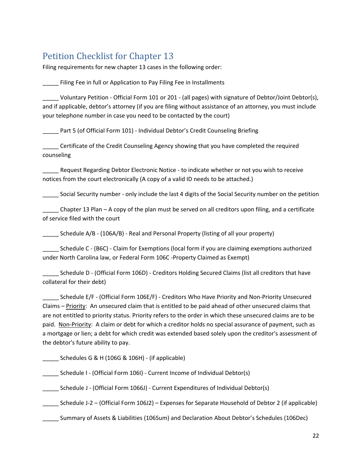# Petition Checklist for Chapter 13

Filing requirements for new chapter 13 cases in the following order:

Filing Fee in full or Application to Pay Filing Fee in Installments

\_\_\_\_\_ Voluntary Petition ‐ Official Form 101 or 201 ‐ (all pages) with signature of Debtor/Joint Debtor(s), and if applicable, debtor's attorney (if you are filing without assistance of an attorney, you must include your telephone number in case you need to be contacted by the court)

Part 5 (of Official Form 101) - Individual Debtor's Credit Counseling Briefing

\_\_\_\_\_ Certificate of the Credit Counseling Agency showing that you have completed the required counseling

Request Regarding Debtor Electronic Notice - to indicate whether or not you wish to receive notices from the court electronically (A copy of a valid ID needs to be attached.)

\_\_\_\_\_ Social Security number ‐ only include the last 4 digits of the Social Security number on the petition

\_\_\_\_\_ Chapter 13 Plan – A copy of the plan must be served on all creditors upon filing, and a certificate of service filed with the court

Schedule A/B - (106A/B) - Real and Personal Property (listing of all your property)

\_\_\_\_\_ Schedule C ‐ (B6C) ‐ Claim for Exemptions (local form if you are claiming exemptions authorized under North Carolina law, or Federal Form 106C ‐Property Claimed as Exempt)

Schedule D - (Official Form 106D) - Creditors Holding Secured Claims (list all creditors that have collateral for their debt)

\_\_\_\_\_ Schedule E/F ‐ (Official Form 106E/F) ‐ Creditors Who Have Priority and Non‐Priority Unsecured Claims – Priority: An unsecured claim that is entitled to be paid ahead of other unsecured claims that are not entitled to priority status. Priority refers to the order in which these unsecured claims are to be paid. Non‐Priority: A claim or debt for which a creditor holds no special assurance of payment, such as a mortgage or lien; a debt for which credit was extended based solely upon the creditor's assessment of the debtor's future ability to pay.

Schedules G & H (106G & 106H) - (if applicable)

\_\_\_\_\_ Schedule I ‐ (Official Form 106I) ‐ Current Income of Individual Debtor(s)

\_\_\_\_\_ Schedule J ‐ (Official Form 1066J) ‐ Current Expenditures of Individual Debtor(s)

\_\_\_\_\_ Schedule J‐2 – (Official Form 106J2) – Expenses for Separate Household of Debtor 2 (if applicable)

\_\_\_\_\_ Summary of Assets & Liabilities (106Sum) and Declaration About Debtor's Schedules (106Dec)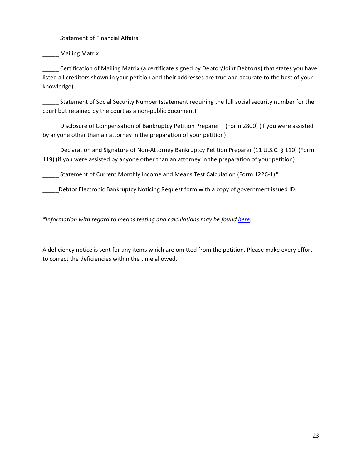\_\_\_\_\_ Statement of Financial Affairs

\_\_\_\_\_ Mailing Matrix

\_\_\_\_\_ Certification of Mailing Matrix (a certificate signed by Debtor/Joint Debtor(s) that states you have listed all creditors shown in your petition and their addresses are true and accurate to the best of your knowledge)

\_\_\_\_\_ Statement of Social Security Number (statement requiring the full social security number for the court but retained by the court as a non‐public document)

\_\_\_\_\_ Disclosure of Compensation of Bankruptcy Petition Preparer – (Form 2800) (if you were assisted by anyone other than an attorney in the preparation of your petition)

\_\_\_\_\_ Declaration and Signature of Non‐Attorney Bankruptcy Petition Preparer (11 U.S.C. § 110) (Form 119) (if you were assisted by anyone other than an attorney in the preparation of your petition)

Statement of Current Monthly Income and Means Test Calculation (Form 122C-1)\*

\_\_\_\_\_Debtor Electronic Bankruptcy Noticing Request form with a copy of government issued ID.

*\*Information with regard to means testing and calculations may be found here.*

A deficiency notice is sent for any items which are omitted from the petition. Please make every effort to correct the deficiencies within the time allowed.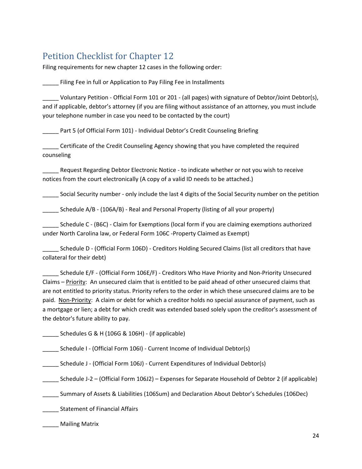# Petition Checklist for Chapter 12

Filing requirements for new chapter 12 cases in the following order:

Filing Fee in full or Application to Pay Filing Fee in Installments

\_\_\_\_\_ Voluntary Petition ‐ Official Form 101 or 201 ‐ (all pages) with signature of Debtor/Joint Debtor(s), and if applicable, debtor's attorney (if you are filing without assistance of an attorney, you must include your telephone number in case you need to be contacted by the court)

Part 5 (of Official Form 101) - Individual Debtor's Credit Counseling Briefing

\_\_\_\_\_ Certificate of the Credit Counseling Agency showing that you have completed the required counseling

Request Regarding Debtor Electronic Notice - to indicate whether or not you wish to receive notices from the court electronically (A copy of a valid ID needs to be attached.)

\_\_\_\_\_ Social Security number ‐ only include the last 4 digits of the Social Security number on the petition

Schedule A/B - (106A/B) - Real and Personal Property (listing of all your property)

\_\_\_\_\_ Schedule C ‐ (B6C) ‐ Claim for Exemptions (local form if you are claiming exemptions authorized under North Carolina law, or Federal Form 106C ‐Property Claimed as Exempt)

\_\_\_\_\_ Schedule D ‐ (Official Form 106D) ‐ Creditors Holding Secured Claims (list all creditors that have collateral for their debt)

\_\_\_\_\_ Schedule E/F ‐ (Official Form 106E/F) ‐ Creditors Who Have Priority and Non‐Priority Unsecured Claims – Priority: An unsecured claim that is entitled to be paid ahead of other unsecured claims that are not entitled to priority status. Priority refers to the order in which these unsecured claims are to be paid. Non‐Priority: A claim or debt for which a creditor holds no special assurance of payment, such as a mortgage or lien; a debt for which credit was extended based solely upon the creditor's assessment of the debtor's future ability to pay.

\_\_\_\_\_ Schedules G & H (106G & 106H) ‐ (if applicable)

\_\_\_\_\_ Schedule I ‐ (Official Form 106I) ‐ Current Income of Individual Debtor(s)

\_\_\_\_\_\_ Schedule J - (Official Form 106J) - Current Expenditures of Individual Debtor(s)

\_\_\_\_\_ Schedule J‐2 – (Official Form 106J2) – Expenses for Separate Household of Debtor 2 (if applicable)

\_\_\_\_\_ Summary of Assets & Liabilities (106Sum) and Declaration About Debtor's Schedules (106Dec)

\_\_\_\_\_ Statement of Financial Affairs

\_\_\_\_\_ Mailing Matrix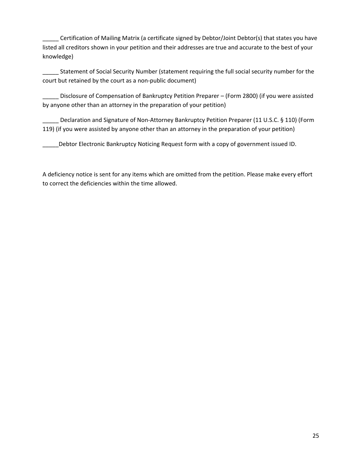\_\_\_\_\_ Certification of Mailing Matrix (a certificate signed by Debtor/Joint Debtor(s) that states you have listed all creditors shown in your petition and their addresses are true and accurate to the best of your knowledge)

\_\_\_\_\_ Statement of Social Security Number (statement requiring the full social security number for the court but retained by the court as a non‐public document)

Disclosure of Compensation of Bankruptcy Petition Preparer – (Form 2800) (if you were assisted by anyone other than an attorney in the preparation of your petition)

Declaration and Signature of Non-Attorney Bankruptcy Petition Preparer (11 U.S.C. § 110) (Form 119) (if you were assisted by anyone other than an attorney in the preparation of your petition)

Debtor Electronic Bankruptcy Noticing Request form with a copy of government issued ID.

A deficiency notice is sent for any items which are omitted from the petition. Please make every effort to correct the deficiencies within the time allowed.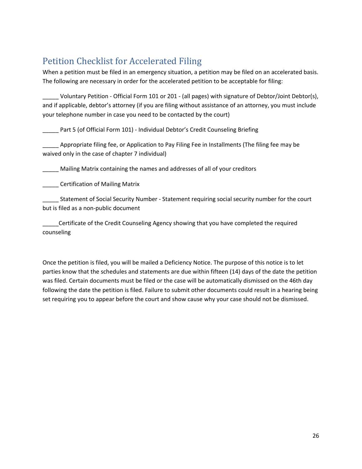# Petition Checklist for Accelerated Filing

When a petition must be filed in an emergency situation, a petition may be filed on an accelerated basis. The following are necessary in order for the accelerated petition to be acceptable for filing:

\_\_\_\_\_ Voluntary Petition ‐ Official Form 101 or 201 ‐ (all pages) with signature of Debtor/Joint Debtor(s), and if applicable, debtor's attorney (if you are filing without assistance of an attorney, you must include your telephone number in case you need to be contacted by the court)

\_\_\_\_\_ Part 5 (of Official Form 101) ‐ Individual Debtor's Credit Counseling Briefing

\_\_\_\_\_ Appropriate filing fee, or Application to Pay Filing Fee in Installments (The filing fee may be waived only in the case of chapter 7 individual)

\_\_\_\_\_ Mailing Matrix containing the names and addresses of all of your creditors

**Example 21 Certification of Mailing Matrix** 

\_\_\_\_\_ Statement of Social Security Number ‐ Statement requiring social security number for the court but is filed as a non‐public document

\_\_\_\_\_Certificate of the Credit Counseling Agency showing that you have completed the required counseling

Once the petition is filed, you will be mailed a Deficiency Notice. The purpose of this notice is to let parties know that the schedules and statements are due within fifteen (14) days of the date the petition was filed. Certain documents must be filed or the case will be automatically dismissed on the 46th day following the date the petition is filed. Failure to submit other documents could result in a hearing being set requiring you to appear before the court and show cause why your case should not be dismissed.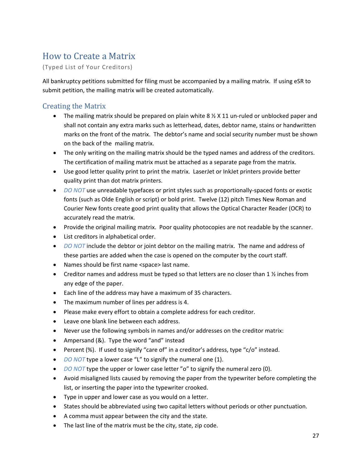# How to Create a Matrix

(Typed List of Your Creditors)

All bankruptcy petitions submitted for filing must be accompanied by a mailing matrix. If using eSR to submit petition, the mailing matrix will be created automatically.

### Creating the Matrix

- The mailing matrix should be prepared on plain white  $8\frac{1}{2}$  X 11 un-ruled or unblocked paper and shall not contain any extra marks such as letterhead, dates, debtor name, stains or handwritten marks on the front of the matrix. The debtor's name and social security number must be shown on the back of the mailing matrix.
- The only writing on the mailing matrix should be the typed names and address of the creditors. The certification of mailing matrix must be attached as a separate page from the matrix.
- Use good letter quality print to print the matrix. LaserJet or InkJet printers provide better quality print than dot matrix printers.
- *DO NOT* use unreadable typefaces or print styles such as proportionally-spaced fonts or exotic fonts (such as Olde English or script) or bold print. Twelve (12) pitch Times New Roman and Courier New fonts create good print quality that allows the Optical Character Reader (OCR) to accurately read the matrix.
- Provide the original mailing matrix. Poor quality photocopies are not readable by the scanner.
- List creditors in alphabetical order.
- *DO NOT* include the debtor or joint debtor on the mailing matrix. The name and address of these parties are added when the case is opened on the computer by the court staff.
- Names should be first name <space> last name.
- Creditor names and address must be typed so that letters are no closer than 1  $\frac{1}{2}$  inches from any edge of the paper.
- Each line of the address may have a maximum of 35 characters.
- The maximum number of lines per address is 4.
- Please make every effort to obtain a complete address for each creditor.
- Leave one blank line between each address.
- Never use the following symbols in names and/or addresses on the creditor matrix:
- Ampersand (&). Type the word "and" instead
- Percent (%). If used to signify "care of" in a creditor's address, type "c/o" instead.
- *DO NOT* type a lower case "L" to signify the numeral one (1).
- *DO NOT* type the upper or lower case letter "o" to signify the numeral zero (0).
- Avoid misaligned lists caused by removing the paper from the typewriter before completing the list, or inserting the paper into the typewriter crooked.
- Type in upper and lower case as you would on a letter.
- States should be abbreviated using two capital letters without periods or other punctuation.
- A comma must appear between the city and the state.
- The last line of the matrix must be the city, state, zip code.